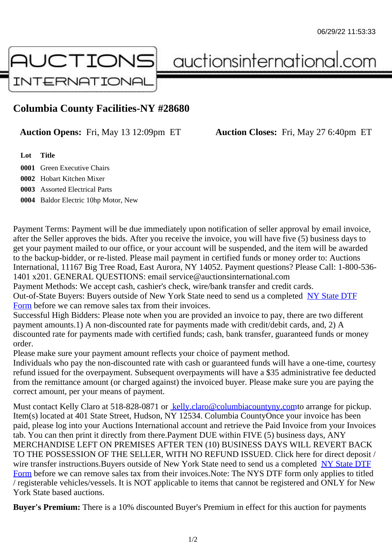## Columbia County Facilities-NY #28680

Auction Opens: Fri, May 13 12:09pm ET Auction Closes: Fri, May 27 6:40pm ET

Lot Title

 Green Executive Chairs Hobart Kitchen Mixer Assorted Electrical Parts Baldor Electric 10hp Motor, New

Payment Terms: Payment will be due immediately upon notification of seller approval by email invoice, after the Seller approves the bids. After you receive the invoice, you will have five (5) business days to get your payment mailed to our office, or your account will be suspended, and the item will be awarded to the backup-bidder, or re-listed. Please mail payment in certified funds or money order to: Auctions International, 11167 Big Tree Road, East Aurora, NY 14052. Payment questions? Please Call: 1-800-53 1401 x201. GENERAL QUESTIONS: email service@auctionsinternational.com Payment Methods: We accept cash, cashier's check, wire/bank transfer and credit cards.

Out-of-State Buyers: Buyers outside of New York State need to send us a com blestate DTF Form before we can remove sales tax from their invoices.

Successful High Bidders: Please note when you are provided an invoice to pay, there are two different payment amounts.1) A non-discounted rate for payments made with credit/de[bit cards, and](https://www.auctionsinternational.com/auxiliary/downloads/DTF_Form/dtf_fill_in.pdf), 2) A [disco](https://www.auctionsinternational.com/auxiliary/downloads/DTF_Form/dtf_fill_in.pdf)unted rate for payments made with certified funds; cash, bank transfer, guaranteed funds or mone order.

Please make sure your payment amount reflects your choice of payment method.

Individuals who pay the non-discounted rate with cash or guaranteed funds will have a one-time, courte refund issued for the overpayment. Subsequent overpayments will have a \$35 administrative fee deduc from the remittance amount (or charged against) the invoiced buyer. Please make sure you are paying correct amount, per your means of payment.

Must contact Kelly Claro at 518-828-0871 belly.claro@columbiacountyny.cdm arrange for pickup. Item(s) located at 401 State Street, Hudson, NY 12534. Columbia CountyOnce your invoice has been paid, please log into your Auctions International account and retrieve the Paid Invoice from your Invoice tab. You can then print it directly from the[re.Payment DUE within FIVE \(5\) b](mailto:kelly.claro@columbiacountyny.com)usiness days, ANY MERCHANDISE LEFT ON PREMISES AFTER TEN (10) BUSINESS DAYS WILL REVERT BACK TO THE POSSESSION OF THE SELLER, WITH NO REFUND ISSUED. Click here for direct deposit / wire transfer instructions. Buyers outside of New York State need to send us a completed DTF Form before we can remove sales tax from their invoices.Note: The NYS DTF form only applies to titled / registerable vehicles/vessels. It is NOT applicable to items that cannot be registered and ONLY for New York State based auctions.

[Buye](https://www.auctionsinternational.com/auxiliary/downloads/DTF_Form/dtf_fill_in.pdf)r's Premium: There is a 10% discounted Buyer's Premium in effect for this auction for payments